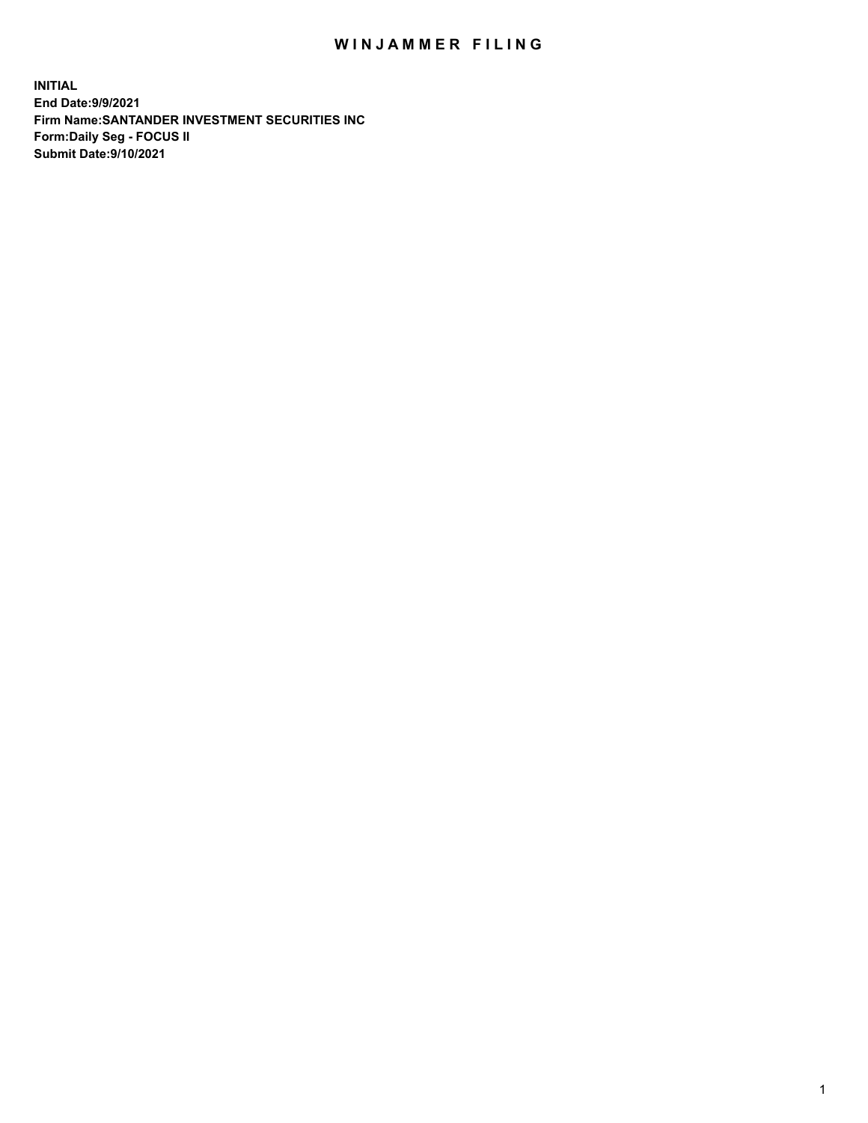## WIN JAMMER FILING

**INITIAL End Date:9/9/2021 Firm Name:SANTANDER INVESTMENT SECURITIES INC Form:Daily Seg - FOCUS II Submit Date:9/10/2021**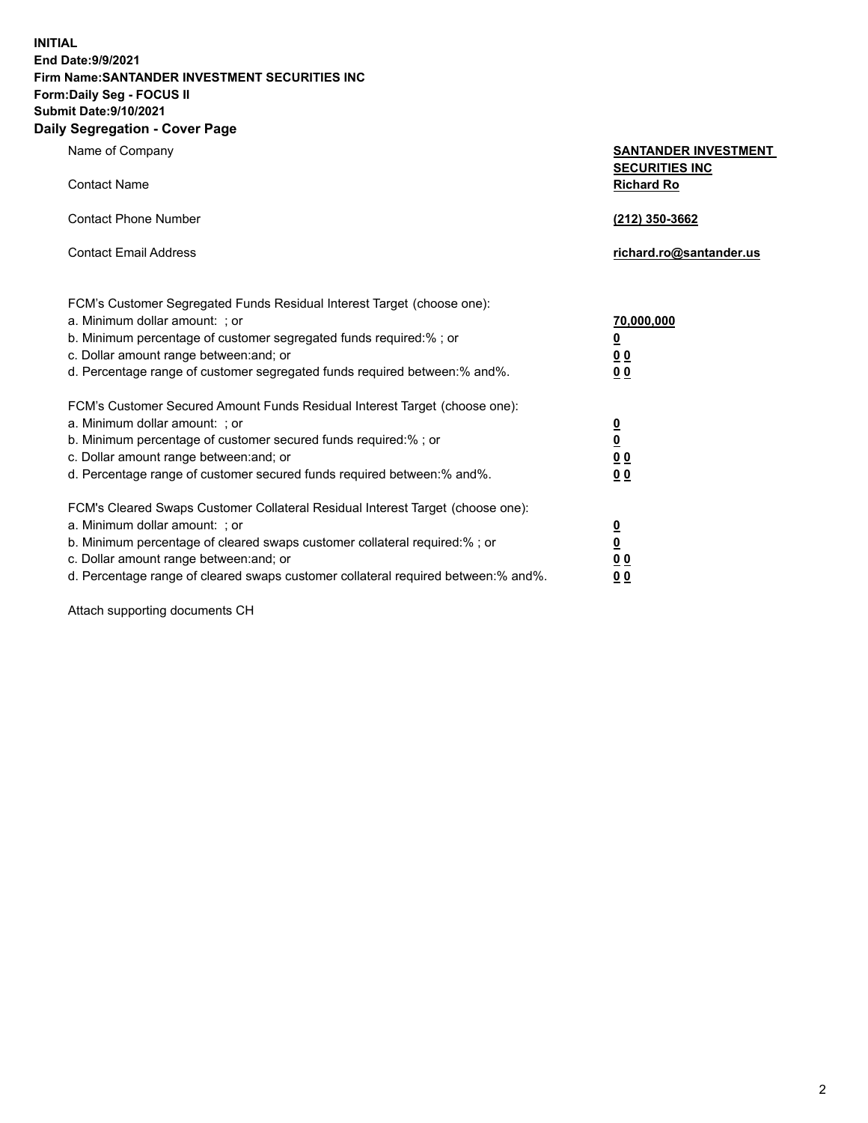**INITIAL End Date:9/9/2021 Firm Name:SANTANDER INVESTMENT SECURITIES INC Form:Daily Seg - FOCUS II Submit Date:9/10/2021 Daily Segregation - Cover Page**

| $\gamma$ ocgi cganon - oo $\gamma$ or i ago                                       |                                                      |
|-----------------------------------------------------------------------------------|------------------------------------------------------|
| Name of Company                                                                   | <b>SANTANDER INVESTMENT</b><br><b>SECURITIES INC</b> |
| <b>Contact Name</b>                                                               | <b>Richard Ro</b>                                    |
| <b>Contact Phone Number</b>                                                       | (212) 350-3662                                       |
| <b>Contact Email Address</b>                                                      | richard.ro@santander.us                              |
| FCM's Customer Segregated Funds Residual Interest Target (choose one):            |                                                      |
| a. Minimum dollar amount: ; or                                                    | 70,000,000                                           |
| b. Minimum percentage of customer segregated funds required:%; or                 | $\underline{\mathbf{0}}$                             |
| c. Dollar amount range between: and; or                                           | 0 <sub>0</sub>                                       |
| d. Percentage range of customer segregated funds required between:% and%.         | 0 <sub>0</sub>                                       |
| FCM's Customer Secured Amount Funds Residual Interest Target (choose one):        |                                                      |
| a. Minimum dollar amount: ; or                                                    | $\frac{0}{0}$                                        |
| b. Minimum percentage of customer secured funds required:%; or                    |                                                      |
| c. Dollar amount range between: and; or                                           | 0 <sub>0</sub>                                       |
| d. Percentage range of customer secured funds required between: % and %.          | 0 <sub>0</sub>                                       |
| FCM's Cleared Swaps Customer Collateral Residual Interest Target (choose one):    |                                                      |
| a. Minimum dollar amount: ; or                                                    | $\frac{0}{0}$                                        |
| b. Minimum percentage of cleared swaps customer collateral required:% ; or        |                                                      |
| c. Dollar amount range between: and; or                                           | 0 <sub>0</sub>                                       |
| d. Percentage range of cleared swaps customer collateral required between:% and%. | 0 <sub>0</sub>                                       |

Attach supporting documents CH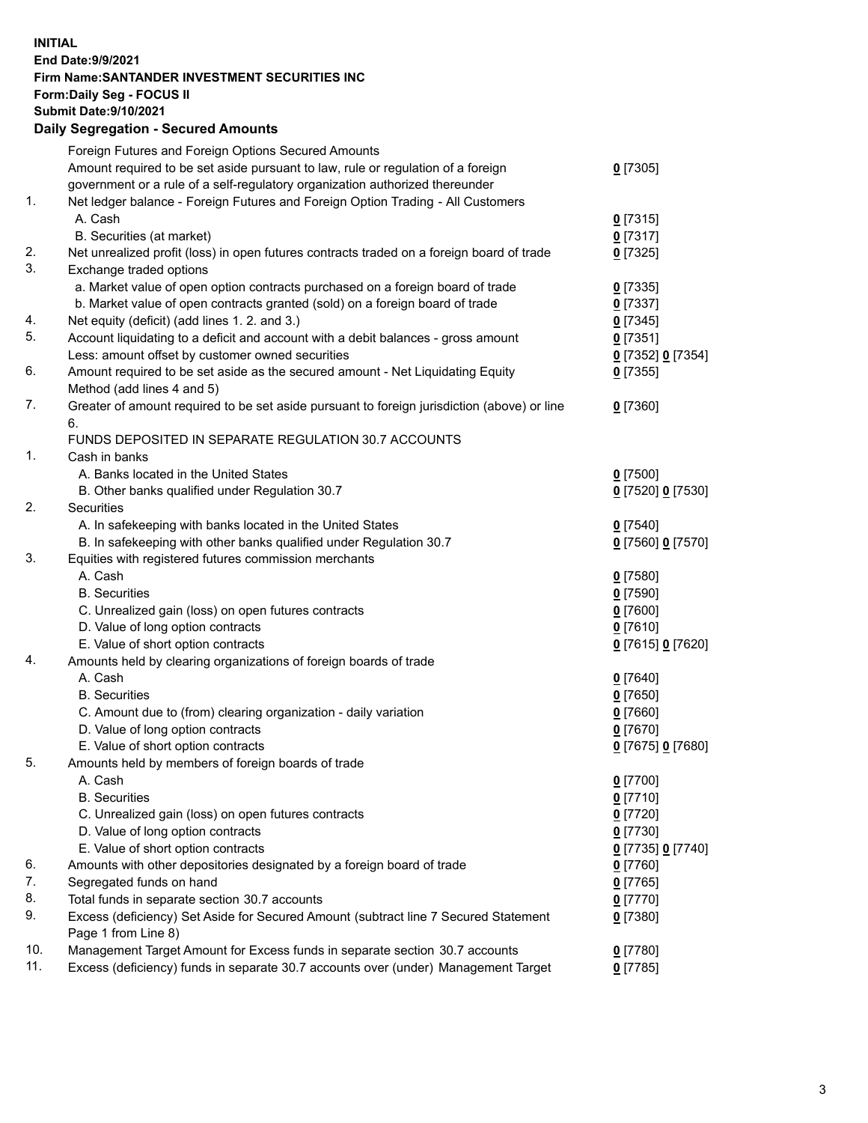## **INITIAL End Date:9/9/2021 Firm Name:SANTANDER INVESTMENT SECURITIES INC Form:Daily Seg - FOCUS II Submit Date:9/10/2021 Daily Segregation - Secured Amounts**

|     | Foreign Futures and Foreign Options Secured Amounts                                         |                   |
|-----|---------------------------------------------------------------------------------------------|-------------------|
|     | Amount required to be set aside pursuant to law, rule or regulation of a foreign            | $0$ [7305]        |
|     | government or a rule of a self-regulatory organization authorized thereunder                |                   |
| 1.  | Net ledger balance - Foreign Futures and Foreign Option Trading - All Customers             |                   |
|     | A. Cash                                                                                     | $0$ [7315]        |
|     | B. Securities (at market)                                                                   | $0$ [7317]        |
| 2.  | Net unrealized profit (loss) in open futures contracts traded on a foreign board of trade   | $0$ [7325]        |
| 3.  | Exchange traded options                                                                     |                   |
|     | a. Market value of open option contracts purchased on a foreign board of trade              | $0$ [7335]        |
|     | b. Market value of open contracts granted (sold) on a foreign board of trade                | $0$ [7337]        |
| 4.  | Net equity (deficit) (add lines 1. 2. and 3.)                                               | $0$ [7345]        |
| 5.  | Account liquidating to a deficit and account with a debit balances - gross amount           | $0$ [7351]        |
|     | Less: amount offset by customer owned securities                                            | 0 [7352] 0 [7354] |
| 6.  | Amount required to be set aside as the secured amount - Net Liquidating Equity              | $0$ [7355]        |
|     | Method (add lines 4 and 5)                                                                  |                   |
| 7.  | Greater of amount required to be set aside pursuant to foreign jurisdiction (above) or line | $0$ [7360]        |
|     | 6.                                                                                          |                   |
|     | FUNDS DEPOSITED IN SEPARATE REGULATION 30.7 ACCOUNTS                                        |                   |
| 1.  | Cash in banks                                                                               |                   |
|     | A. Banks located in the United States                                                       | $0$ [7500]        |
|     | B. Other banks qualified under Regulation 30.7                                              | 0 [7520] 0 [7530] |
| 2.  | Securities                                                                                  |                   |
|     | A. In safekeeping with banks located in the United States                                   | $0$ [7540]        |
|     | B. In safekeeping with other banks qualified under Regulation 30.7                          | 0 [7560] 0 [7570] |
| 3.  | Equities with registered futures commission merchants                                       |                   |
|     | A. Cash                                                                                     | $0$ [7580]        |
|     | <b>B.</b> Securities                                                                        | $0$ [7590]        |
|     | C. Unrealized gain (loss) on open futures contracts                                         | $0$ [7600]        |
|     | D. Value of long option contracts                                                           | $0$ [7610]        |
|     | E. Value of short option contracts                                                          | 0 [7615] 0 [7620] |
| 4.  | Amounts held by clearing organizations of foreign boards of trade                           |                   |
|     | A. Cash                                                                                     | $0$ [7640]        |
|     | <b>B.</b> Securities                                                                        | $0$ [7650]        |
|     | C. Amount due to (from) clearing organization - daily variation                             | $0$ [7660]        |
|     | D. Value of long option contracts                                                           | $0$ [7670]        |
|     | E. Value of short option contracts                                                          | 0 [7675] 0 [7680] |
| 5.  | Amounts held by members of foreign boards of trade                                          |                   |
|     | A. Cash                                                                                     | $0$ [7700]        |
|     | <b>B.</b> Securities                                                                        | $0$ [7710]        |
|     | C. Unrealized gain (loss) on open futures contracts                                         | $0$ [7720]        |
|     | D. Value of long option contracts                                                           | $0$ [7730]        |
|     | E. Value of short option contracts                                                          | 0 [7735] 0 [7740] |
| 6.  | Amounts with other depositories designated by a foreign board of trade                      | $0$ [7760]        |
| 7.  | Segregated funds on hand                                                                    | $0$ [7765]        |
| 8.  | Total funds in separate section 30.7 accounts                                               | 0 [7770]          |
| 9.  | Excess (deficiency) Set Aside for Secured Amount (subtract line 7 Secured Statement         | $0$ [7380]        |
|     | Page 1 from Line 8)                                                                         |                   |
| 10. | Management Target Amount for Excess funds in separate section 30.7 accounts                 | $0$ [7780]        |
| 11. | Excess (deficiency) funds in separate 30.7 accounts over (under) Management Target          | $0$ [7785]        |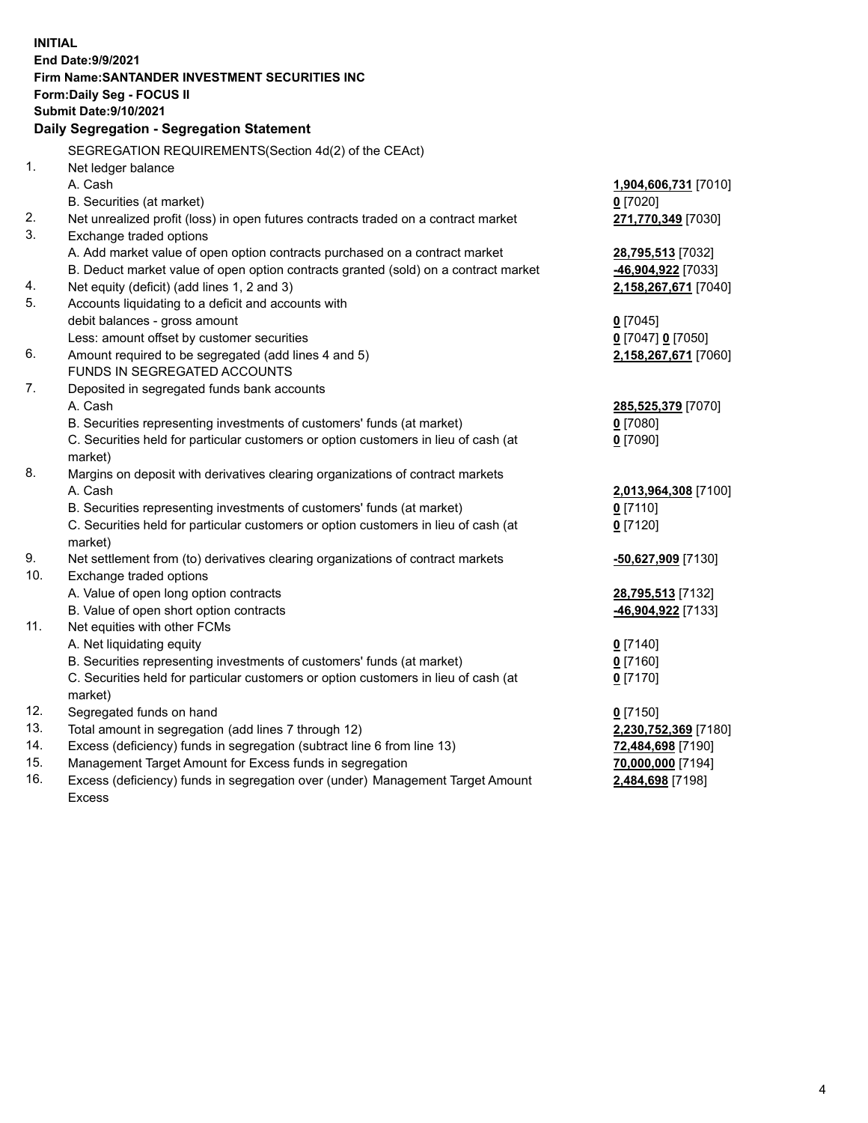| <b>INITIAL</b> | End Date: 9/9/2021<br>Firm Name: SANTANDER INVESTMENT SECURITIES INC<br><b>Form:Daily Seg - FOCUS II</b><br><b>Submit Date: 9/10/2021</b><br>Daily Segregation - Segregation Statement |                       |
|----------------|----------------------------------------------------------------------------------------------------------------------------------------------------------------------------------------|-----------------------|
|                | SEGREGATION REQUIREMENTS(Section 4d(2) of the CEAct)                                                                                                                                   |                       |
| 1.             | Net ledger balance                                                                                                                                                                     |                       |
|                | A. Cash                                                                                                                                                                                | 1,904,606,731 [7010]  |
|                | B. Securities (at market)                                                                                                                                                              | $0$ [7020]            |
| 2.             | Net unrealized profit (loss) in open futures contracts traded on a contract market                                                                                                     | 271,770,349 [7030]    |
| 3.             | Exchange traded options                                                                                                                                                                |                       |
|                | A. Add market value of open option contracts purchased on a contract market                                                                                                            | 28,795,513 [7032]     |
|                | B. Deduct market value of open option contracts granted (sold) on a contract market                                                                                                    | -46,904,922 [7033]    |
| 4.             | Net equity (deficit) (add lines 1, 2 and 3)                                                                                                                                            | 2,158,267,671 [7040]  |
| 5.             | Accounts liquidating to a deficit and accounts with                                                                                                                                    |                       |
|                | debit balances - gross amount                                                                                                                                                          | $0$ [7045]            |
|                | Less: amount offset by customer securities                                                                                                                                             | $0$ [7047] $0$ [7050] |
| 6.             | Amount required to be segregated (add lines 4 and 5)                                                                                                                                   | 2,158,267,671 [7060]  |
|                | FUNDS IN SEGREGATED ACCOUNTS                                                                                                                                                           |                       |
| 7.             | Deposited in segregated funds bank accounts                                                                                                                                            |                       |
|                | A. Cash                                                                                                                                                                                | 285,525,379 [7070]    |
|                | B. Securities representing investments of customers' funds (at market)                                                                                                                 | $0$ [7080]            |
|                | C. Securities held for particular customers or option customers in lieu of cash (at                                                                                                    | $0$ [7090]            |
|                | market)                                                                                                                                                                                |                       |
| 8.             | Margins on deposit with derivatives clearing organizations of contract markets                                                                                                         |                       |
|                | A. Cash                                                                                                                                                                                | 2,013,964,308 [7100]  |
|                | B. Securities representing investments of customers' funds (at market)                                                                                                                 | $0$ [7110]            |
|                | C. Securities held for particular customers or option customers in lieu of cash (at                                                                                                    | $0$ [7120]            |
| 9.             | market)<br>Net settlement from (to) derivatives clearing organizations of contract markets                                                                                             | -50,627,909 [7130]    |
| 10.            | Exchange traded options                                                                                                                                                                |                       |
|                | A. Value of open long option contracts                                                                                                                                                 | 28,795,513 [7132]     |
|                | B. Value of open short option contracts                                                                                                                                                | -46,904,922 [7133]    |
| 11.            | Net equities with other FCMs                                                                                                                                                           |                       |
|                | A. Net liquidating equity                                                                                                                                                              | $Q$ [7140]            |
|                | B. Securities representing investments of customers' funds (at market)                                                                                                                 | 0 <sup>[7160]</sup>   |
|                | C. Securities held for particular customers or option customers in lieu of cash (at                                                                                                    | $0$ [7170]            |
|                | market)                                                                                                                                                                                |                       |
| 12.            | Segregated funds on hand                                                                                                                                                               | $0$ [7150]            |
| 13.            | Total amount in segregation (add lines 7 through 12)                                                                                                                                   | 2,230,752,369 [7180]  |
| 14.            | Excess (deficiency) funds in segregation (subtract line 6 from line 13)                                                                                                                | 72,484,698 [7190]     |
| 15.            | Management Target Amount for Excess funds in segregation                                                                                                                               | 70,000,000 [7194]     |
| 16.            | Excess (deficiency) funds in segregation over (under) Management Target Amount                                                                                                         | 2,484,698 [7198]      |
|                | <b>Excess</b>                                                                                                                                                                          |                       |